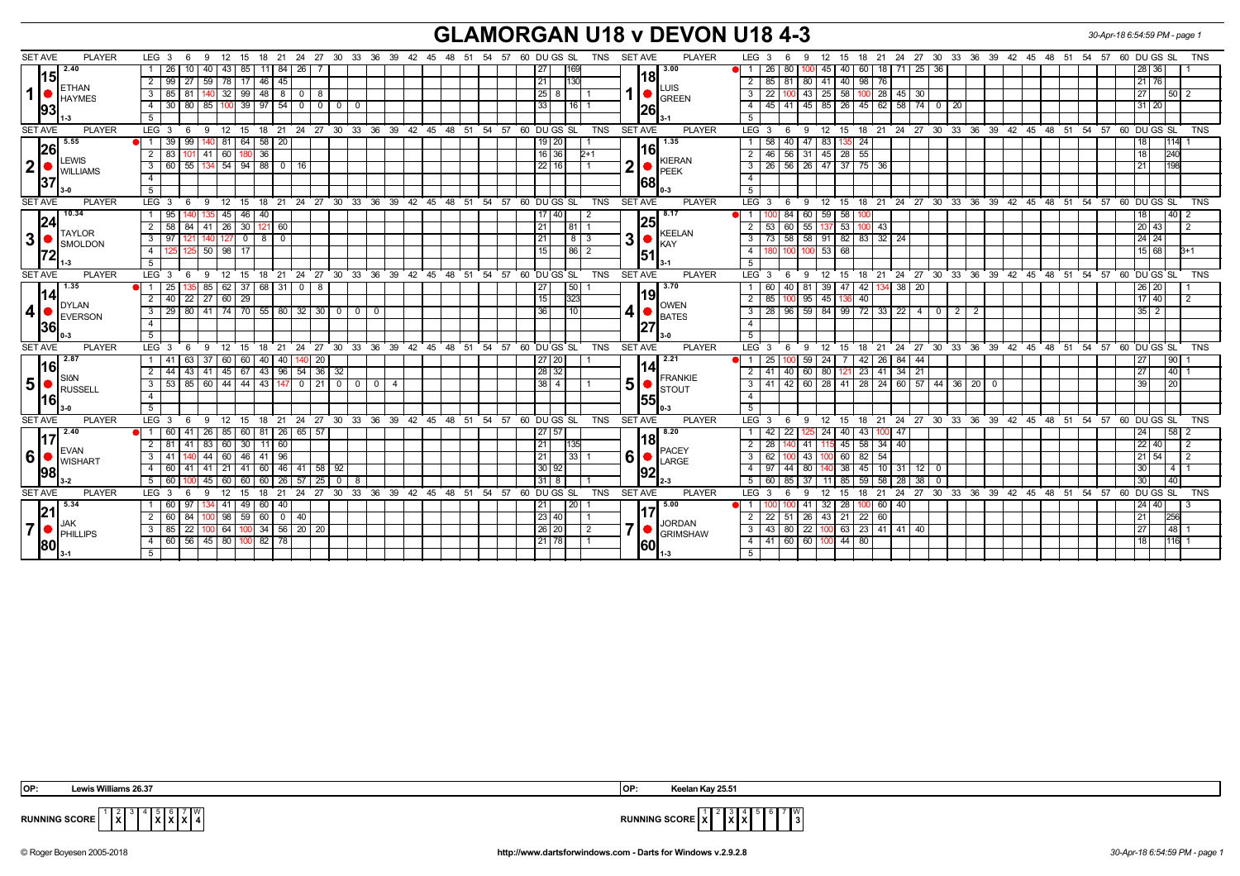## **GLAMORGAN U18 v DEVON U18 4-3** *30-Apr-18 6:54:59 PM - page 1*

| <b>PLAYER</b><br><b>SET AVE</b>                                                                               | LEG <sub>3</sub><br>-9<br>12<br>15<br>18<br>21 24                                                               | 27 30 33 36 39 42 45 48 51 54 57<br>60 DU GS SL<br>TNS                      | <b>SET AVE</b><br><b>PLAYER</b>         | LEG 3<br>27 30 33 36 39 42 45 48 51 54 57<br>60 DU GS SL<br><b>TNS</b><br>12<br>18<br>21 24<br>-9<br>15              |
|---------------------------------------------------------------------------------------------------------------|-----------------------------------------------------------------------------------------------------------------|-----------------------------------------------------------------------------|-----------------------------------------|----------------------------------------------------------------------------------------------------------------------|
| 12.40                                                                                                         | 1   26<br>43<br>85<br>84<br>26                                                                                  | 27                                                                          | 13.00                                   | 18 71 25<br>26<br>80<br>45<br>40<br>60<br>-36<br>28   36                                                             |
| 115<br><b>ETHAN</b>                                                                                           | 2 99 27 59 78 17 46 45                                                                                          | 21<br>130                                                                   | I18I                                    | 85   81   80   41   40   98   76<br>$\overline{2}$<br>21   76                                                        |
| 1 • <br><b>HAYMES</b>                                                                                         | 81   140   32   99   48   8  <br>$3 \mid 85 \mid$<br>8<br>$\overline{0}$                                        | 25 8                                                                        | LUIS<br><b>GREEN</b>                    | 3<br>43   25   58   100   28   45   30<br> 27 <br>22<br> 50 2                                                        |
| 93                                                                                                            | 4 30 80 85 100 39 97 54 0<br>$0 0 0 0$                                                                          | 33<br>16   1                                                                | <b>26</b>                               | $\overline{4}$<br>45   41   45   85   26   45   62   58   74   0   20<br>31 20                                       |
| 1-3                                                                                                           | 5                                                                                                               |                                                                             |                                         | $\overline{5}$                                                                                                       |
| <b>SET AVE</b><br><b>PLAYER</b>                                                                               | LEG <sub>3</sub><br>12<br>6<br>9                                                                                | 15 18 21 24 27 30 33 36 39 42 45 48 51 54 57 60 DUGS SL<br><b>TNS</b>       | <b>SET AVE</b><br><b>PLAYER</b>         | 12 15 18 21 24 27 30 33 36 39 42 45 48 51 54 57 60 DUGS SL<br><b>TNS</b><br>LEG 3<br>9<br>-6                         |
| 5.55                                                                                                          | 1 39<br>99   140   81<br>64 58 20                                                                               | $19$ 20                                                                     | 1.35                                    | 58<br>40 I<br>47<br>83 135 24<br>1114<br>18                                                                          |
| 26 <br><b>LEWIS</b>                                                                                           | 60<br>36<br>$2 \mid 83$<br>41                                                                                   | $16$ 36<br>$2+1$                                                            | 116I<br>KIERAN                          | $\overline{2}$<br>$145$   28   55<br>46<br>56 I<br>31<br>18<br>1240                                                  |
| 2 <br><b>WILLIAMS</b>                                                                                         | 3 60 55 134 54 94 88 0<br>- 16                                                                                  | 22 16                                                                       | 2<br><b>IPEEK</b>                       | $\overline{3}$<br>26 56 26 47 37 75 36<br><b>1198</b><br>l 21 l                                                      |
| 37                                                                                                            | $\overline{4}$                                                                                                  |                                                                             | 1681                                    | $\overline{4}$                                                                                                       |
| 3-0                                                                                                           | 5                                                                                                               |                                                                             |                                         | 5                                                                                                                    |
| <b>SET AVE</b><br><b>PLAYER</b>                                                                               | LEG <sub>3</sub><br>12<br>6<br>- 9                                                                              | 15 18 21 24 27 30 33 36 39 42 45 48 51 54 57 60 DUGS SL<br><b>TNS</b>       | <b>SET AVE</b><br><b>PLAYER</b>         | 15 18 21 24 27 30 33 36 39 42 45 48 51 54 57 60 DUGS SL<br>LEG <sub>3</sub><br>12<br><b>TNS</b><br>- 6<br>- 9        |
| 10.34<br> 24                                                                                                  | 45<br>46<br>$1 \mid 95$<br>40                                                                                   | 17 40                                                                       | 8.17<br> 25                             | $59 \mid 58 \mid$<br>84<br>l 40 l 2<br>$\overline{1}$<br>60<br>18                                                    |
| <b>TAYLOR</b><br>3 <sup>1</sup><br>SMOLDON<br> 72                                                             | $2 \overline{58}$<br>26<br>30 <sup>2</sup><br>60                                                                | 21<br>  81                                                                  | KEELAN                                  | 2<br>53 <br>  43<br>20 43                                                                                            |
|                                                                                                               | $\begin{array}{c c c c c c} \hline 0 & 8 & 0 \\ \hline \end{array}$<br>$3 \mid 97$<br>121 140 127               | $8 \mid 3$<br>21                                                            | 3<br><b>IKAY</b>                        | 58   58   91   82   83   32   24<br>3<br>24 24                                                                       |
|                                                                                                               | $50 \mid 98$<br>17<br>4 1125                                                                                    | 15<br>86 2                                                                  | 151                                     | 53  <br>68<br>15 68<br>$\overline{4}$<br>$B+1$<br>100                                                                |
| 1-3                                                                                                           | 5                                                                                                               |                                                                             |                                         | 5                                                                                                                    |
| <b>SET AVE</b><br><b>PLAYER</b>                                                                               |                                                                                                                 | LEG 3 6 9 12 15 18 21 24 27 30 33 36 39 42 45 48 51 54 57 60 DUGS SL<br>TNS | <b>SET AVE</b><br><b>PLAYER</b>         | 9 12 15 18 21 24 27 30 33 36 39 42 45 48 51 54 57<br>60 DU GS SL<br>LEG $3 \quad 6$<br><b>TNS</b>                    |
| 1.35                                                                                                          | $85 \ 62 \ 37 \ 68 \ 31 \ 0$<br>$1 \mid 25$<br>- 8                                                              | 50 <br>27                                                                   | 3.70<br>l19l                            | 40   81<br>39   47   42   134   38   20<br>60<br>26   20                                                             |
| 14<br>DYLAN                                                                                                   | $2 \mid 40 \mid$<br>22   27   60   29                                                                           | 15<br>323                                                                   | OWEN                                    | $\overline{2}$<br>85<br>100 95 45 136 40<br>$17$ 40<br>$\sqrt{2}$                                                    |
| $ 4 $ $ ^{\text{DYLAN}}$ everson                                                                              | $3   29   80   41   74   70   55   80   32   30   00$                                                           | 36<br>$\overline{110}$<br>$\Omega$                                          | 4<br><b>BATES</b>                       | $96$ 59 84 99 72 33 22 4 0 2 2<br>$\overline{3}$<br>28<br>$35$   2                                                   |
| 36                                                                                                            | $\overline{4}$                                                                                                  |                                                                             |                                         | $\overline{4}$                                                                                                       |
| $0 - 3$                                                                                                       | 5 <sup>5</sup>                                                                                                  |                                                                             |                                         | 5                                                                                                                    |
| <b>PLAYER</b><br><b>SET AVE</b>                                                                               | LEG <sub>3</sub><br>12<br>- 6<br>-9                                                                             | 15 18 21 24 27 30 33 36 39 42 45 48 51 54 57 60 DUGSSL<br>TNS               | <b>SET AVE</b><br><b>PLAYER</b>         | 12<br>18 21 24 27 30 33 36 39 42 45 48 51 54 57 60 DUGS SL<br>LEG <sub>3</sub><br>15<br><b>TNS</b><br>-6<br>-9       |
| 2.87<br><b>16</b>                                                                                             | 60 <br>60   40  <br>40<br>20<br>1   41<br>63   37                                                               | $27$   20                                                                   | 2.21<br>FRANKIE                         | 7   42   26   84   44<br> 90 <br>$59$   24<br>27<br>25                                                               |
| SIôN                                                                                                          | $2 \mid 44 \mid$<br>43   41   45   67   43   96   54   36   32                                                  | 28 32                                                                       |                                         | $\overline{2}$<br>41 40 60 80 121 23 41 34 21<br>$140$   1<br>27                                                     |
| 5 <br>RUSSELL<br><u> 16 </u>                                                                                  | 44<br>$3 \mid 53$<br>85   60  <br>44<br>-43 I<br>147<br>$\mathbf{0}$<br>$21$ 0<br>$\mathbf{0}$                  | 38 4<br>$\circ$ 1                                                           | 5<br><b>I</b> STOUT                     | 28   41   28   24   60   57  <br>3<br>-60 I<br>-41<br>42 I<br>44   36  <br>20<br>39<br>l 20 l                        |
|                                                                                                               | 4                                                                                                               |                                                                             | <b>1551</b>                             | $\overline{4}$                                                                                                       |
| 3-0                                                                                                           | 5 <sup>5</sup>                                                                                                  |                                                                             |                                         | 5                                                                                                                    |
| <b>SET AVE</b><br><b>PLAYER</b><br>12.40                                                                      | LEG 3<br>$\overline{1}2$<br>- 9<br>-6                                                                           | 15 18 21 24 27 30 33 36 39 42 45 48 51 54 57 60 DUGSSL<br>TNS               | <b>SET AVE</b><br><b>PLAYER</b>         | 12 15 18 21 24 27 30 33 36 39 42 45 48 51 54 57 60 DUGSSL<br>LEG 3<br><b>TNS</b><br>9<br>- 6                         |
| 117<br><b>EVAN</b><br>$\left  6 \right $ $\bullet$ $\left  \frac{\text{EVMN}}{\text{WISHART}} \right $<br>198 | 26<br>65<br>60<br>57<br>60<br>26<br>85<br>  81                                                                  | $27$ 57                                                                     | 18.20<br>I18I                           | 58 2<br>24<br>40<br>43<br>47                                                                                         |
|                                                                                                               | 60<br>2   81<br>l 83 I<br>60<br>30 <sup>2</sup><br>41<br>11 I                                                   | 21                                                                          | PACEY<br>6<br><b>LARGE</b><br>92        | $\overline{2}$<br>58<br>$34 \overline{40}$<br>41<br>45 l<br>$22$   40<br>28                                          |
|                                                                                                               | 60<br>46 41<br>96<br>$3 \mid 41$<br>44                                                                          | 21<br> 33                                                                   |                                         | 3<br>43<br>60 I<br>82 I<br>54<br>21   54  <br>62<br>$\overline{4}$                                                   |
|                                                                                                               | $4 \overline{60}$<br>41 41 21<br>41<br>46 41<br>$58$ 92<br>l 60 I                                               | 30 92                                                                       |                                         | 97<br>80<br>$38 \mid 45$<br>$10$ 31 12<br>30<br>44<br>14 I 1<br>$\Omega$                                             |
|                                                                                                               | 26<br>57<br>25<br>5 60<br>60<br>60<br>45<br>60<br>$\overline{0}$<br>-8                                          | 31<br>8                                                                     |                                         | 58<br>38<br>5<br>60<br>85<br>59<br>28 I<br>30<br>$\Omega$<br>85<br>24 27 30 33 36 39 42 45 48 51 54 57<br><b>TNS</b> |
| <b>SET AVE</b><br><b>PLAYER</b><br>5.34                                                                       | 24<br>27 30<br>LEG <sub>3</sub><br>12<br>15<br>21<br>18<br>9                                                    | 33 36 39 42 45 48 51 54 57<br>60 DU GS SL<br><b>TNS</b>                     | <b>SET AVE</b><br><b>PLAYER</b><br>5.00 | LEG <sub>3</sub><br>60 DU GS SL<br>15<br>18<br>21<br>12<br><b>g</b>                                                  |
| 21 <br><b>JAK</b><br>7 • <br><b>PHILLIPS</b><br><b>180</b>                                                    | 1 60<br>97<br>41<br>49 60<br>40                                                                                 | 20 <sub>l</sub><br>21                                                       |                                         | 41<br>-32 I<br>28 I<br>100 60 40<br>24   40                                                                          |
|                                                                                                               | $2 \mid 60$<br>98<br>59<br>$\mathbf{0}$<br>$\overline{40}$<br>- 60 I<br>22   100   64   100   34   56   20   20 | 23 40                                                                       | <b>JORDAN</b>                           | $\overline{2}$<br>26<br>22<br>22<br>-43<br>21 I<br>-60<br>21<br>-51<br>43   80   22   100   63   23   41   41   40   |
|                                                                                                               | $3 \mid 85 \mid$<br>$56$   45   80  <br>100 82 78                                                               | 26 20 <br>$\overline{2}$<br>$21$ 78                                         | <b>GRIMSHAW</b>                         | 3<br> 48  1<br>27<br>$41 \ 60 \ 60 \ 100$<br>$144$ 80<br>$1116$ 1<br>$\overline{4}$<br>18 <sup>1</sup>               |
|                                                                                                               | 4 60                                                                                                            |                                                                             | <b>1601</b>                             |                                                                                                                      |
|                                                                                                               |                                                                                                                 |                                                                             |                                         |                                                                                                                      |



**X** 4 5 **X X** 7 **X** W



**RUNNING SCORE**